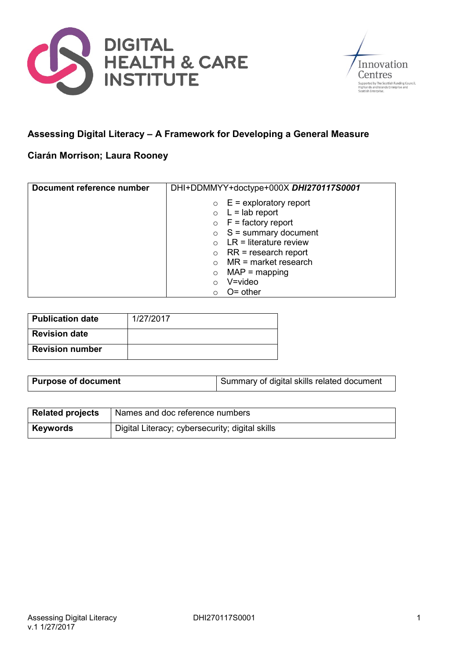



# **Assessing Digital Literacy – A Framework for Developing a General Measure**

## **Ciarán Morrison; Laura Rooney**

| Document reference number | DHI+DDMMYY+doctype+000X DHI270117S0001 |
|---------------------------|----------------------------------------|
|                           | $\circ$ E = exploratory report         |
|                           | $L =$ lab report<br>$\circ$            |
|                           | $\circ$ F = factory report             |
|                           | $\circ$ S = summary document           |
|                           | $LR =$ literature review               |
|                           | $RR = research report$<br>$\circ$      |
|                           | $MR = market research$                 |
|                           | $MAP = mapping$                        |
|                           | V=video                                |
|                           | $O =$ other                            |

| <b>Publication date</b> | 1/27/2017 |
|-------------------------|-----------|
| <b>Revision date</b>    |           |
| <b>Revision number</b>  |           |

| <b>Purpose of document</b> | Summary of digital skills related document |
|----------------------------|--------------------------------------------|

| <b>Related projects</b> | Names and doc reference numbers                 |
|-------------------------|-------------------------------------------------|
| Keywords                | Digital Literacy; cybersecurity; digital skills |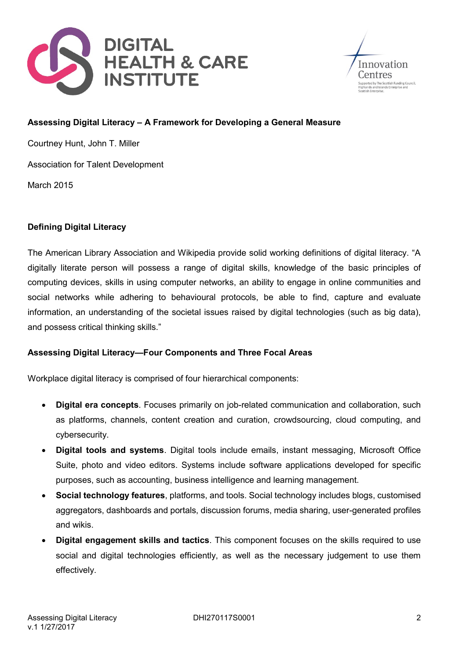



#### **Assessing Digital Literacy – A Framework for Developing a General Measure**

Courtney Hunt, John T. Miller

Association for Talent Development

March 2015

### **Defining Digital Literacy**

The American Library Association and Wikipedia provide solid working definitions of digital literacy. "A digitally literate person will possess a range of digital skills, knowledge of the basic principles of computing devices, skills in using computer networks, an ability to engage in online communities and social networks while adhering to behavioural protocols, be able to find, capture and evaluate information, an understanding of the societal issues raised by digital technologies (such as big data), and possess critical thinking skills."

### **Assessing Digital Literacy—Four Components and Three Focal Areas**

Workplace digital literacy is comprised of four hierarchical components:

- **Digital era concepts**. Focuses primarily on job-related communication and collaboration, such as platforms, channels, content creation and curation, crowdsourcing, cloud computing, and cybersecurity.
- **Digital tools and systems**. Digital tools include emails, instant messaging, Microsoft Office Suite, photo and video editors. Systems include software applications developed for specific purposes, such as accounting, business intelligence and learning management.
- **Social technology features**, platforms, and tools. Social technology includes blogs, customised aggregators, dashboards and portals, discussion forums, media sharing, user-generated profiles and wikis.
- **Digital engagement skills and tactics**. This component focuses on the skills required to use social and digital technologies efficiently, as well as the necessary judgement to use them effectively.